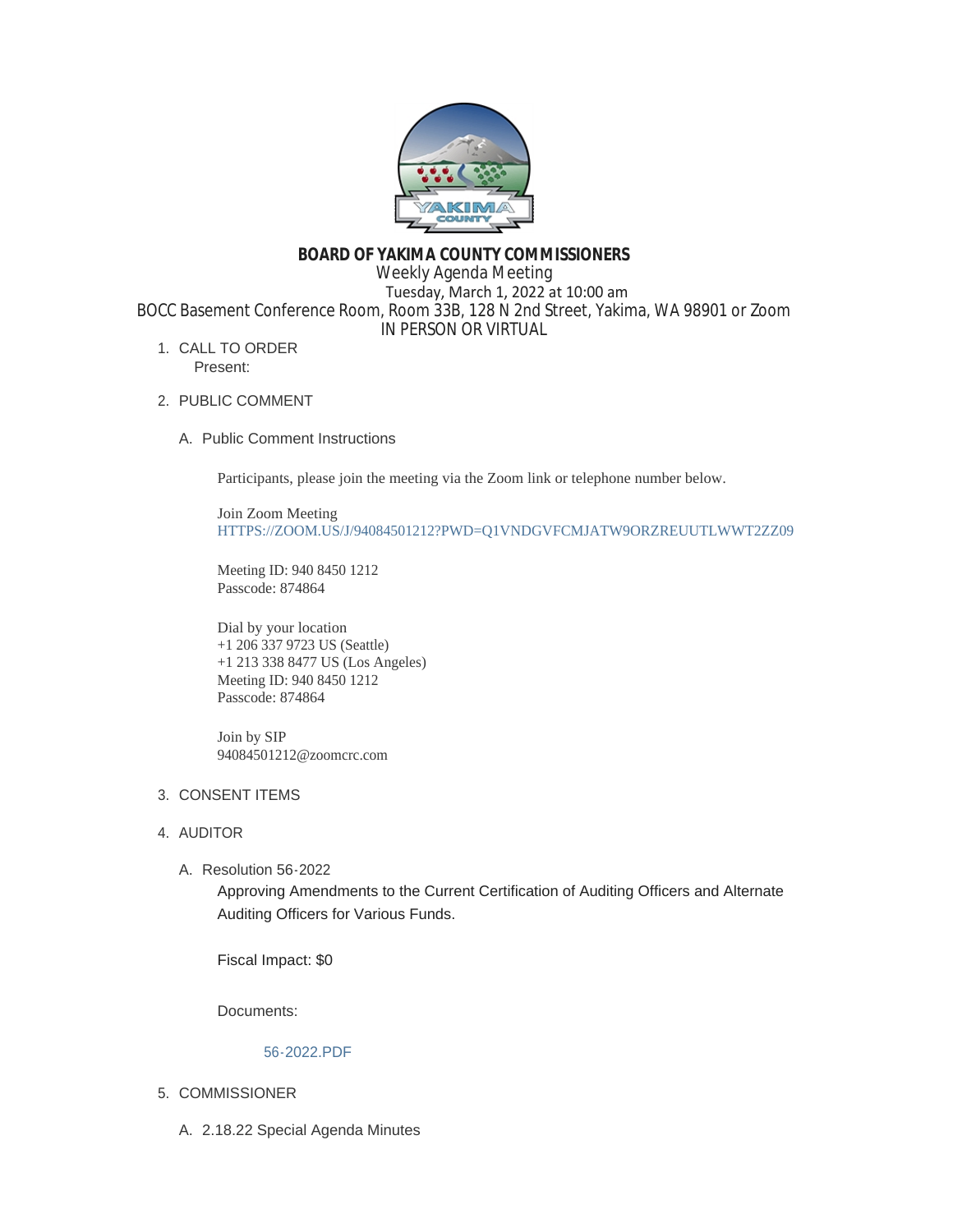

# **BOARD OF YAKIMA COUNTY COMMISSIONERS**

Weekly Agenda Meeting

 Tuesday, March 1, 2022 at 10:00 am BOCC Basement Conference Room, Room 33B, 128 N 2nd Street, Yakima, WA 98901 or Zoom IN PERSON OR VIRTUAL

- 1. CALL TO ORDER Present:
- 2. PUBLIC COMMENT
	- A. Public Comment Instructions

Participants, please join the meeting via the Zoom link or telephone number below.

Join Zoom Meeting [HTTPS://ZOOM.US/J/94084501212?PWD=Q1VNDGVFCMJATW9ORZREUUTLWWT2ZZ09](https://zoom.us/j/94084501212?pwd=Q1VNdGVFcmJaTW9ORzREUUtlWWt2Zz09)

Meeting ID: 940 8450 1212 Passcode: 874864

Dial by your location +1 206 337 9723 US (Seattle) +1 213 338 8477 US (Los Angeles) Meeting ID: 940 8450 1212 Passcode: 874864

Join by SIP 94084501212@zoomcrc.com

# 3. CONSENT ITEMS

# 4. AUDITOR

Resolution 56-2022 A.

Approving Amendments to the Current Certification of Auditing Officers and Alternate Auditing Officers for Various Funds.

Fiscal Impact: \$0

Documents:

# [56-2022.PDF](https://www.yakimacounty.us/AgendaCenter/ViewFile/Item/3905?fileID=15662)

- 5. COMMISSIONER
	- 2.18.22 Special Agenda Minutes A.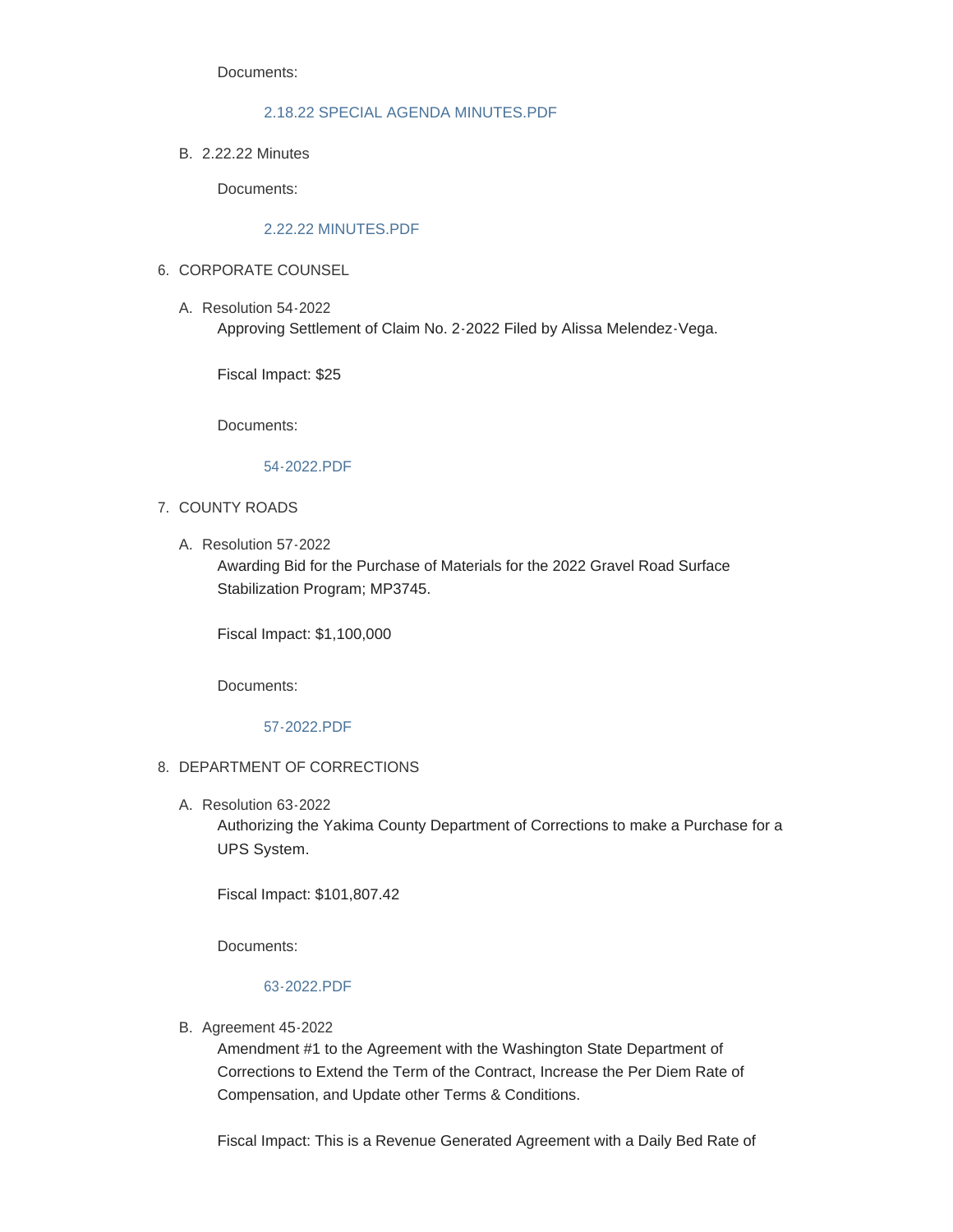Documents:

### [2.18.22 SPECIAL AGENDA MINUTES.PDF](https://www.yakimacounty.us/AgendaCenter/ViewFile/Item/3884?fileID=15683)

2.22.22 Minutes B.

Documents:

## [2.22.22 MINUTES.PDF](https://www.yakimacounty.us/AgendaCenter/ViewFile/Item/3885?fileID=15654)

## 6. CORPORATE COUNSEL

A. Resolution 54-2022 Approving Settlement of Claim No. 2-2022 Filed by Alissa Melendez-Vega.

Fiscal Impact: \$25

Documents:

## [54-2022.PDF](https://www.yakimacounty.us/AgendaCenter/ViewFile/Item/3887?fileID=15655)

- 7. COUNTY ROADS
	- A. Resolution 57-2022

Awarding Bid for the Purchase of Materials for the 2022 Gravel Road Surface Stabilization Program; MP3745.

Fiscal Impact: \$1,100,000

Documents:

[57-2022.PDF](https://www.yakimacounty.us/AgendaCenter/ViewFile/Item/3906?fileID=15663)

## 8. DEPARTMENT OF CORRECTIONS

Resolution 63-2022 A.

Authorizing the Yakima County Department of Corrections to make a Purchase for a UPS System.

Fiscal Impact: \$101,807.42

Documents:

### [63-2022.PDF](https://www.yakimacounty.us/AgendaCenter/ViewFile/Item/3921?fileID=15673)

B. Agreement 45-2022

Amendment #1 to the Agreement with the Washington State Department of Corrections to Extend the Term of the Contract, Increase the Per Diem Rate of Compensation, and Update other Terms & Conditions.

Fiscal Impact: This is a Revenue Generated Agreement with a Daily Bed Rate of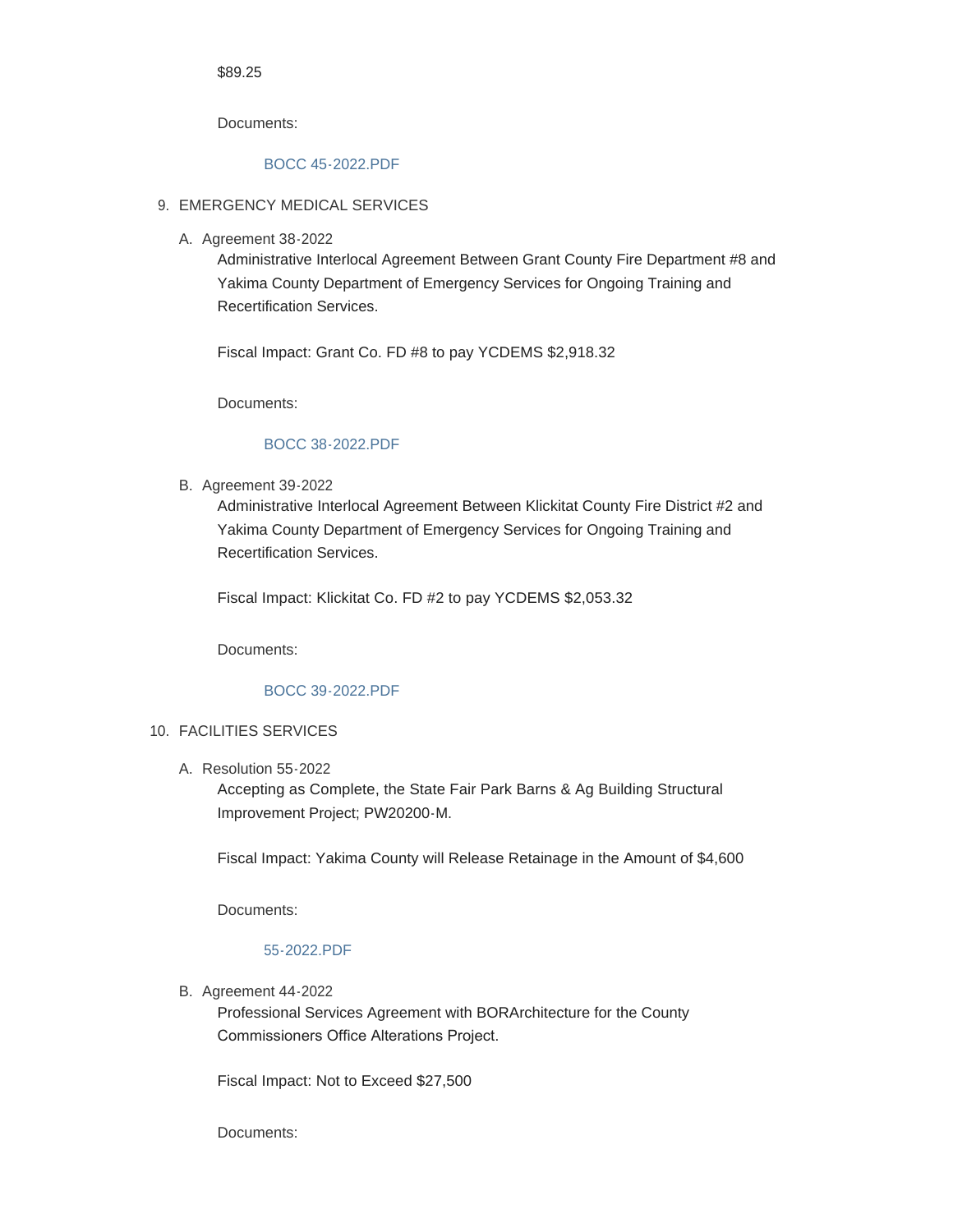#### \$89.25

Documents:

# [BOCC 45-2022.PDF](https://www.yakimacounty.us/AgendaCenter/ViewFile/Item/3913?fileID=15667)

## 9. EMERGENCY MEDICAL SERVICES

A. Agreement 38-2022

Administrative Interlocal Agreement Between Grant County Fire Department #8 and Yakima County Department of Emergency Services for Ongoing Training and Recertification Services.

Fiscal Impact: Grant Co. FD #8 to pay YCDEMS \$2,918.32

Documents:

#### [BOCC 38-2022.PDF](https://www.yakimacounty.us/AgendaCenter/ViewFile/Item/3889?fileID=15657)

**B.** Agreement 39-2022

Administrative Interlocal Agreement Between Klickitat County Fire District #2 and Yakima County Department of Emergency Services for Ongoing Training and Recertification Services.

Fiscal Impact: Klickitat Co. FD #2 to pay YCDEMS \$2,053.32

Documents:

### [BOCC 39-2022.PDF](https://www.yakimacounty.us/AgendaCenter/ViewFile/Item/3890?fileID=15658)

#### FACILITIES SERVICES 10.

Resolution 55-2022 A.

Accepting as Complete, the State Fair Park Barns & Ag Building Structural Improvement Project; PW20200-M.

Fiscal Impact: Yakima County will Release Retainage in the Amount of \$4,600

Documents:

### [55-2022.PDF](https://www.yakimacounty.us/AgendaCenter/ViewFile/Item/3888?fileID=15656)

B. Agreement 44-2022

Professional Services Agreement with BORArchitecture for the County Commissioners Office Alterations Project.

Fiscal Impact: Not to Exceed \$27,500

Documents: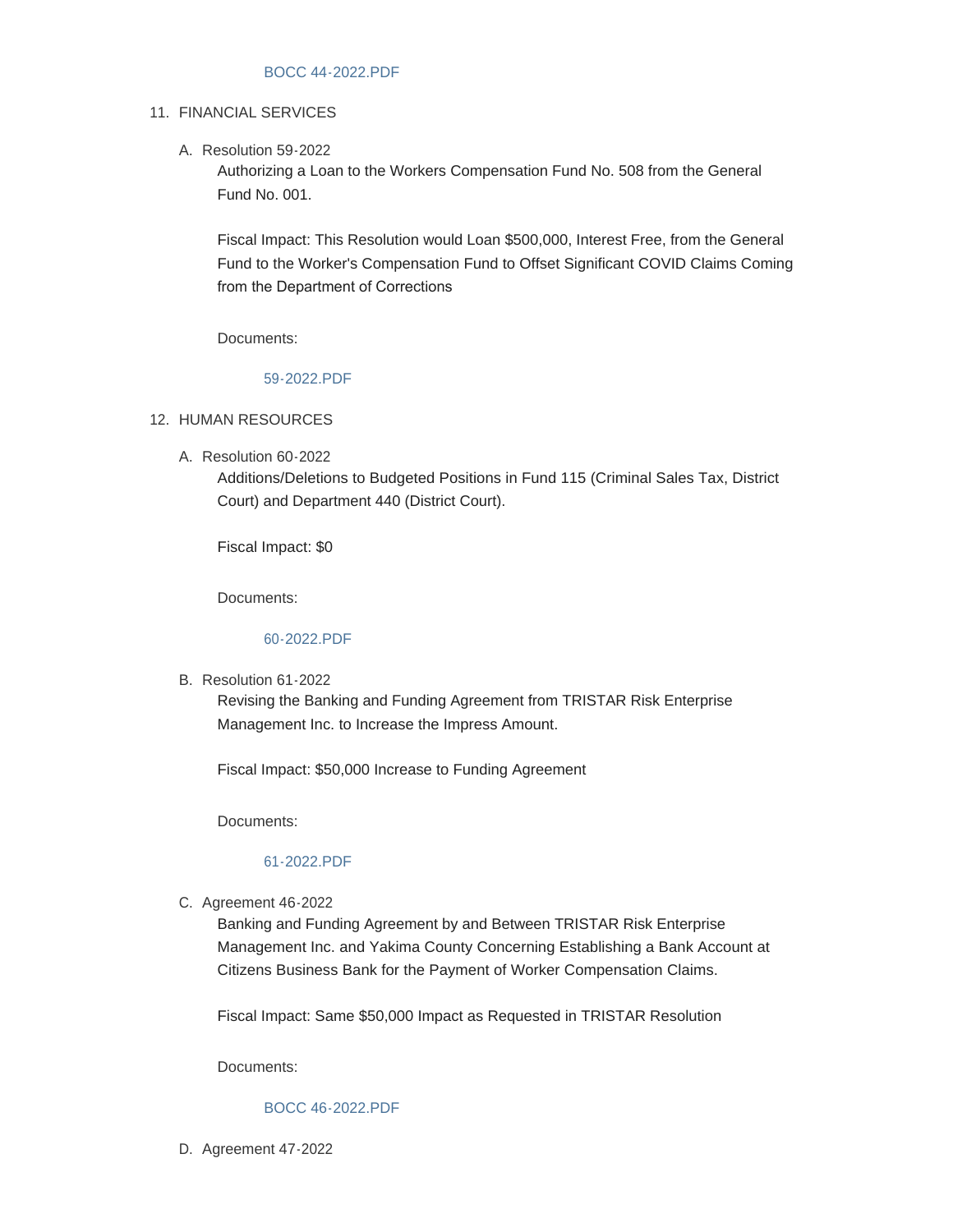#### [BOCC 44-2022.PDF](https://www.yakimacounty.us/AgendaCenter/ViewFile/Item/3912?fileID=15666)

#### 11. FINANCIAL SERVICES

A. Resolution 59-2022

Authorizing a Loan to the Workers Compensation Fund No. 508 from the General Fund No. 001.

Fiscal Impact: This Resolution would Loan \$500,000, Interest Free, from the General Fund to the Worker's Compensation Fund to Offset Significant COVID Claims Coming from the Department of Corrections

Documents:

### [59-2022.PDF](https://www.yakimacounty.us/AgendaCenter/ViewFile/Item/3914?fileID=15668)

#### 12. HUMAN RESOURCES

Resolution 60-2022 A.

Additions/Deletions to Budgeted Positions in Fund 115 (Criminal Sales Tax, District Court) and Department 440 (District Court).

Fiscal Impact: \$0

Documents:

#### [60-2022.PDF](https://www.yakimacounty.us/AgendaCenter/ViewFile/Item/3915?fileID=15669)

B. Resolution 61-2022

Revising the Banking and Funding Agreement from TRISTAR Risk Enterprise Management Inc. to Increase the Impress Amount.

Fiscal Impact: \$50,000 Increase to Funding Agreement

Documents:

#### [61-2022.PDF](https://www.yakimacounty.us/AgendaCenter/ViewFile/Item/3916?fileID=15670)

C. Agreement 46-2022

Banking and Funding Agreement by and Between TRISTAR Risk Enterprise Management Inc. and Yakima County Concerning Establishing a Bank Account at Citizens Business Bank for the Payment of Worker Compensation Claims.

Fiscal Impact: Same \$50,000 Impact as Requested in TRISTAR Resolution

Documents:

### [BOCC 46-2022.PDF](https://www.yakimacounty.us/AgendaCenter/ViewFile/Item/3917?fileID=15671)

D. Agreement 47-2022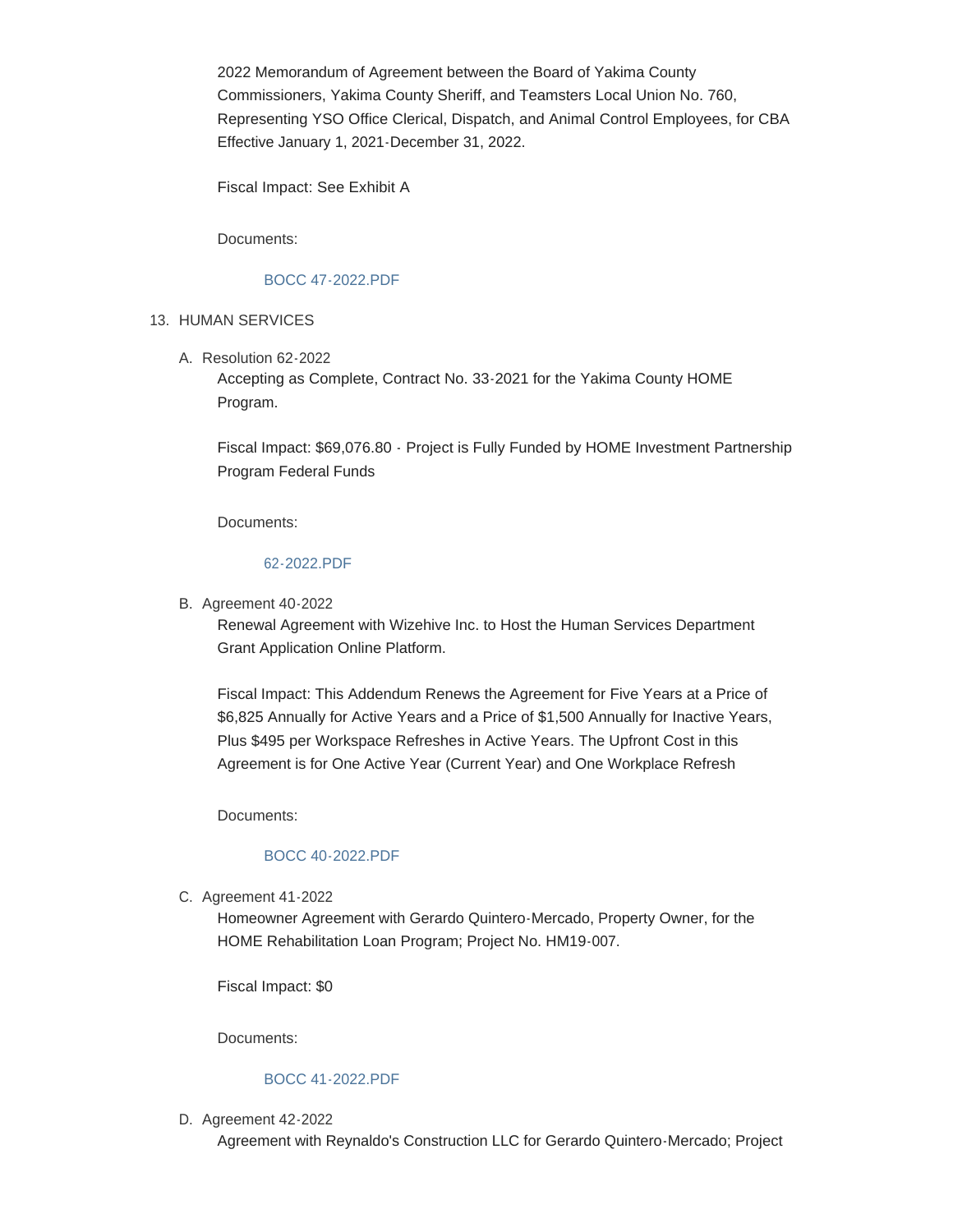2022 Memorandum of Agreement between the Board of Yakima County Commissioners, Yakima County Sheriff, and Teamsters Local Union No. 760, Representing YSO Office Clerical, Dispatch, and Animal Control Employees, for CBA Effective January 1, 2021-December 31, 2022.

Fiscal Impact: See Exhibit A

Documents:

### [BOCC 47-2022.PDF](https://www.yakimacounty.us/AgendaCenter/ViewFile/Item/3918?fileID=15672)

## 13. HUMAN SERVICES

A. Resolution 62-2022

Accepting as Complete, Contract No. 33-2021 for the Yakima County HOME Program.

Fiscal Impact: \$69,076.80 - Project is Fully Funded by HOME Investment Partnership Program Federal Funds

Documents:

#### [62-2022.PDF](https://www.yakimacounty.us/AgendaCenter/ViewFile/Item/3922?fileID=15674)

B. Agreement 40-2022

Renewal Agreement with Wizehive Inc. to Host the Human Services Department Grant Application Online Platform.

Fiscal Impact: This Addendum Renews the Agreement for Five Years at a Price of \$6,825 Annually for Active Years and a Price of \$1,500 Annually for Inactive Years, Plus \$495 per Workspace Refreshes in Active Years. The Upfront Cost in this Agreement is for One Active Year (Current Year) and One Workplace Refresh

Documents:

# [BOCC 40-2022.PDF](https://www.yakimacounty.us/AgendaCenter/ViewFile/Item/3891?fileID=15659)

C. Agreement 41-2022

Homeowner Agreement with Gerardo Quintero-Mercado, Property Owner, for the HOME Rehabilitation Loan Program; Project No. HM19-007.

Fiscal Impact: \$0

Documents:

## [BOCC 41-2022.PDF](https://www.yakimacounty.us/AgendaCenter/ViewFile/Item/3902?fileID=15660)

D. Agreement 42-2022

Agreement with Reynaldo's Construction LLC for Gerardo Quintero-Mercado; Project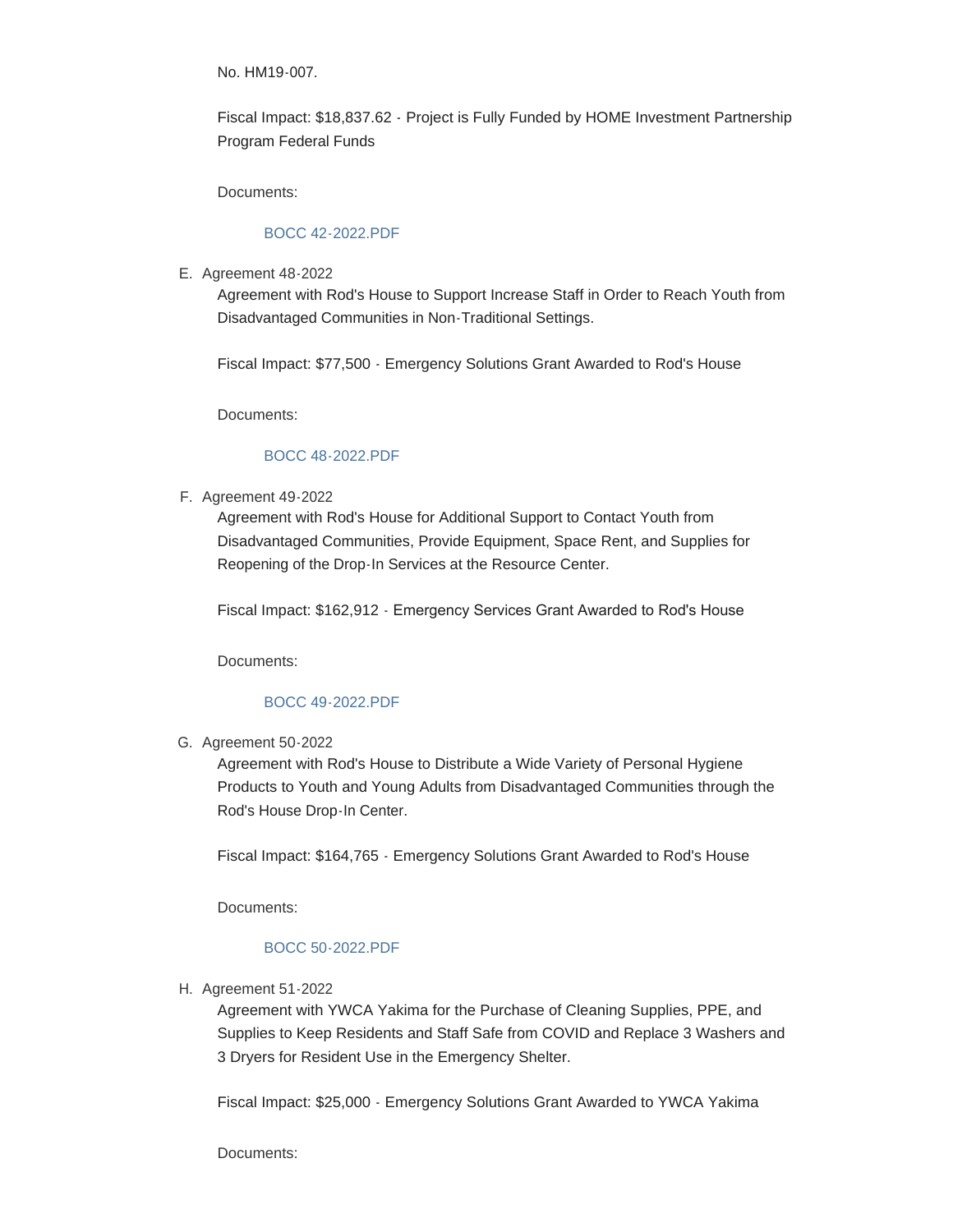No. HM19-007.

Fiscal Impact: \$18,837.62 - Project is Fully Funded by HOME Investment Partnership Program Federal Funds

Documents:

## [BOCC 42-2022.PDF](https://www.yakimacounty.us/AgendaCenter/ViewFile/Item/3903?fileID=15661)

E. Agreement 48-2022

Agreement with Rod's House to Support Increase Staff in Order to Reach Youth from Disadvantaged Communities in Non-Traditional Settings.

Fiscal Impact: \$77,500 - Emergency Solutions Grant Awarded to Rod's House

Documents:

#### [BOCC 48-2022.PDF](https://www.yakimacounty.us/AgendaCenter/ViewFile/Item/3923?fileID=15675)

#### F. Agreement 49-2022

Agreement with Rod's House for Additional Support to Contact Youth from Disadvantaged Communities, Provide Equipment, Space Rent, and Supplies for Reopening of the Drop-In Services at the Resource Center.

Fiscal Impact: \$162,912 - Emergency Services Grant Awarded to Rod's House

Documents:

### [BOCC 49-2022.PDF](https://www.yakimacounty.us/AgendaCenter/ViewFile/Item/3924?fileID=15676)

#### G. Agreement 50-2022

Agreement with Rod's House to Distribute a Wide Variety of Personal Hygiene Products to Youth and Young Adults from Disadvantaged Communities through the Rod's House Drop-In Center.

Fiscal Impact: \$164,765 - Emergency Solutions Grant Awarded to Rod's House

Documents:

### [BOCC 50-2022.PDF](https://www.yakimacounty.us/AgendaCenter/ViewFile/Item/3925?fileID=15677)

H. Agreement 51-2022

Agreement with YWCA Yakima for the Purchase of Cleaning Supplies, PPE, and Supplies to Keep Residents and Staff Safe from COVID and Replace 3 Washers and 3 Dryers for Resident Use in the Emergency Shelter.

Fiscal Impact: \$25,000 - Emergency Solutions Grant Awarded to YWCA Yakima

Documents: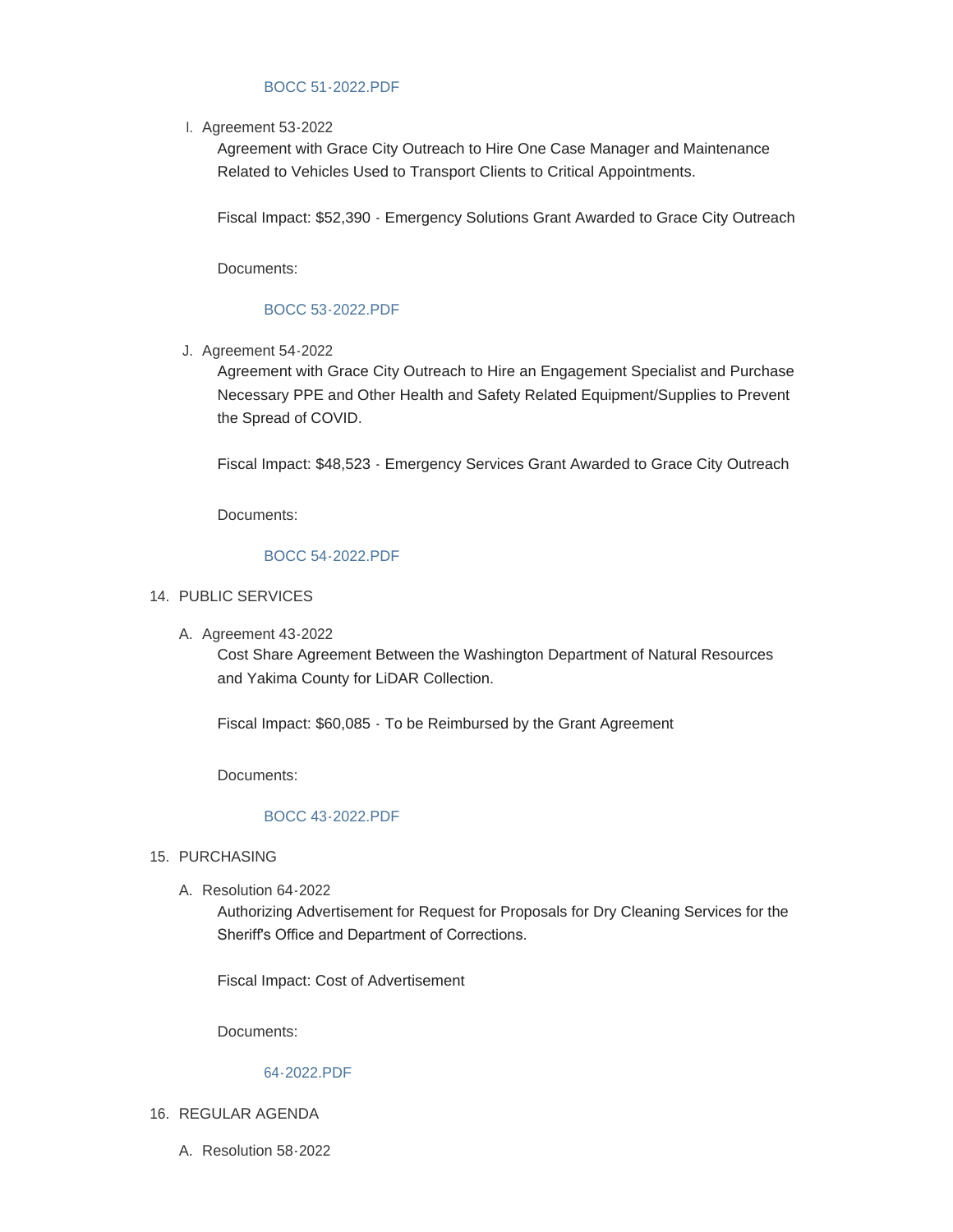## [BOCC 51-2022.PDF](https://www.yakimacounty.us/AgendaCenter/ViewFile/Item/3926?fileID=15678)

l. Agreement 53-2022

Agreement with Grace City Outreach to Hire One Case Manager and Maintenance Related to Vehicles Used to Transport Clients to Critical Appointments.

Fiscal Impact: \$52,390 - Emergency Solutions Grant Awarded to Grace City Outreach

Documents:

# [BOCC 53-2022.PDF](https://www.yakimacounty.us/AgendaCenter/ViewFile/Item/3928?fileID=15680)

Agreement 54-2022 J.

Agreement with Grace City Outreach to Hire an Engagement Specialist and Purchase Necessary PPE and Other Health and Safety Related Equipment/Supplies to Prevent the Spread of COVID.

Fiscal Impact: \$48,523 - Emergency Services Grant Awarded to Grace City Outreach

Documents:

## [BOCC 54-2022.PDF](https://www.yakimacounty.us/AgendaCenter/ViewFile/Item/3929?fileID=15681)

- 14. PUBLIC SERVICES
	- A. Agreement 43-2022

Cost Share Agreement Between the Washington Department of Natural Resources and Yakima County for LiDAR Collection.

Fiscal Impact: \$60,085 - To be Reimbursed by the Grant Agreement

Documents:

## [BOCC 43-2022.PDF](https://www.yakimacounty.us/AgendaCenter/ViewFile/Item/3908?fileID=15665)

- 15. PURCHASING
	- A. Resolution 64-2022

Authorizing Advertisement for Request for Proposals for Dry Cleaning Services for the Sheriff's Office and Department of Corrections.

Fiscal Impact: Cost of Advertisement

Documents:

### [64-2022.PDF](https://www.yakimacounty.us/AgendaCenter/ViewFile/Item/3931?fileID=15682)

- 16. REGULAR AGENDA
	- A. Resolution 58-2022